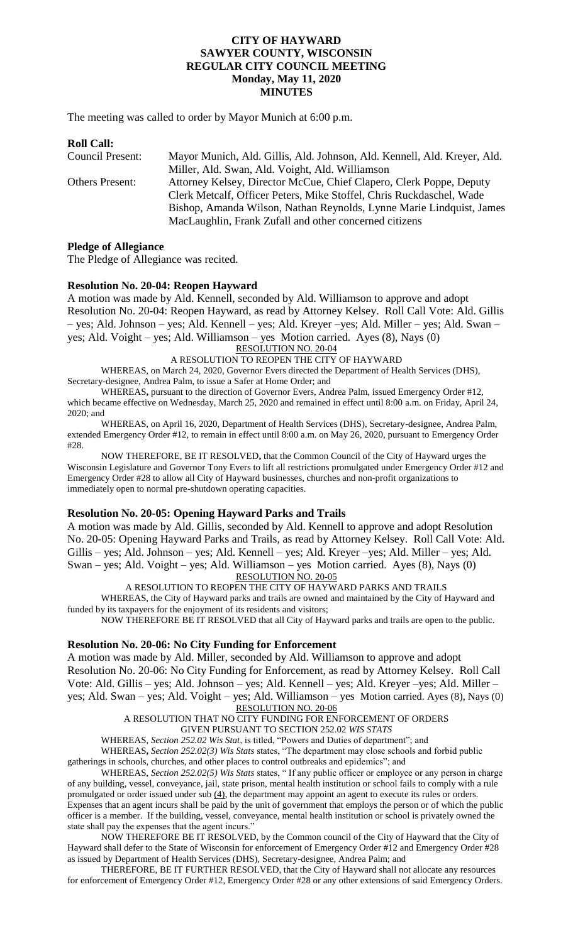#### **CITY OF HAYWARD SAWYER COUNTY, WISCONSIN REGULAR CITY COUNCIL MEETING Monday, May 11, 2020 MINUTES**

The meeting was called to order by Mayor Munich at 6:00 p.m.

| <b>Roll Call:</b>      |                                                                          |
|------------------------|--------------------------------------------------------------------------|
| Council Present:       | Mayor Munich, Ald. Gillis, Ald. Johnson, Ald. Kennell, Ald. Kreyer, Ald. |
|                        | Miller, Ald. Swan, Ald. Voight, Ald. Williamson                          |
| <b>Others Present:</b> | Attorney Kelsey, Director McCue, Chief Clapero, Clerk Poppe, Deputy      |
|                        | Clerk Metcalf, Officer Peters, Mike Stoffel, Chris Ruckdaschel, Wade     |
|                        | Bishop, Amanda Wilson, Nathan Reynolds, Lynne Marie Lindquist, James     |
|                        | MacLaughlin, Frank Zufall and other concerned citizens                   |
|                        |                                                                          |

#### **Pledge of Allegiance**

The Pledge of Allegiance was recited.

#### **Resolution No. 20-04: Reopen Hayward**

A motion was made by Ald. Kennell, seconded by Ald. Williamson to approve and adopt Resolution No. 20-04: Reopen Hayward, as read by Attorney Kelsey. Roll Call Vote: Ald. Gillis – yes; Ald. Johnson – yes; Ald. Kennell – yes; Ald. Kreyer –yes; Ald. Miller – yes; Ald. Swan – yes; Ald. Voight – yes; Ald. Williamson – yes Motion carried. Ayes (8), Nays (0)

RESOLUTION NO. 20-04

A RESOLUTION TO REOPEN THE CITY OF HAYWARD

WHEREAS, on March 24, 2020, Governor Evers directed the Department of Health Services (DHS), Secretary-designee, Andrea Palm, to issue a Safer at Home Order; and

WHEREAS**,** pursuant to the direction of Governor Evers, Andrea Palm, issued Emergency Order #12, which became effective on Wednesday, March 25, 2020 and remained in effect until 8:00 a.m. on Friday, April 24, 2020; and

WHEREAS, on April 16, 2020, Department of Health Services (DHS), Secretary-designee, Andrea Palm, extended Emergency Order #12, to remain in effect until 8:00 a.m. on May 26, 2020, pursuant to Emergency Order #28.

NOW THEREFORE, BE IT RESOLVED**,** that the Common Council of the City of Hayward urges the Wisconsin Legislature and Governor Tony Evers to lift all restrictions promulgated under Emergency Order #12 and Emergency Order #28 to allow all City of Hayward businesses, churches and non-profit organizations to immediately open to normal pre-shutdown operating capacities.

#### **Resolution No. 20-05: Opening Hayward Parks and Trails**

A motion was made by Ald. Gillis, seconded by Ald. Kennell to approve and adopt Resolution No. 20-05: Opening Hayward Parks and Trails, as read by Attorney Kelsey. Roll Call Vote: Ald. Gillis – yes; Ald. Johnson – yes; Ald. Kennell – yes; Ald. Kreyer –yes; Ald. Miller – yes; Ald. Swan – yes; Ald. Voight – yes; Ald. Williamson – yes Motion carried. Ayes (8), Nays (0) RESOLUTION NO. 20-05

A RESOLUTION TO REOPEN THE CITY OF HAYWARD PARKS AND TRAILS

WHEREAS, the City of Hayward parks and trails are owned and maintained by the City of Hayward and funded by its taxpayers for the enjoyment of its residents and visitors;

NOW THEREFORE BE IT RESOLVED that all City of Hayward parks and trails are open to the public.

### **Resolution No. 20-06: No City Funding for Enforcement**

A motion was made by Ald. Miller, seconded by Ald. Williamson to approve and adopt Resolution No. 20-06: No City Funding for Enforcement, as read by Attorney Kelsey. Roll Call Vote: Ald. Gillis – yes; Ald. Johnson – yes; Ald. Kennell – yes; Ald. Kreyer –yes; Ald. Miller – yes; Ald. Swan – yes; Ald. Voight – yes; Ald. Williamson – yes Motion carried. Ayes (8), Nays (0) RESOLUTION NO. 20-06

A RESOLUTION THAT NO CITY FUNDING FOR ENFORCEMENT OF ORDERS GIVEN PURSUANT TO SECTION 252.02 *WIS STATS*

WHEREAS, *Section 252.02 Wis Stat*, is titled, "Powers and Duties of department"; and

WHEREAS**,** *Section 252.02(3) Wis Stats* states, "The department may close schools and forbid public gatherings in schools, churches, and other places to control outbreaks and epidemics"; and

WHEREAS, *Section 252.02(5) Wis Stats* states, " If any public officer or employee or any person in charge of any building, vessel, conveyance, jail, state prison, mental health institution or school fails to comply with a rule promulgated or order issued under sub  $(4)$ , the department may appoint an agent to execute its rules or orders. Expenses that an agent incurs shall be paid by the unit of government that employs the person or of which the public officer is a member. If the building, vessel, conveyance, mental health institution or school is privately owned the state shall pay the expenses that the agent incurs."

NOW THEREFORE BE IT RESOLVED, by the Common council of the City of Hayward that the City of Hayward shall defer to the State of Wisconsin for enforcement of Emergency Order #12 and Emergency Order #28 as issued by Department of Health Services (DHS), Secretary-designee, Andrea Palm; and

THEREFORE, BE IT FURTHER RESOLVED, that the City of Hayward shall not allocate any resources for enforcement of Emergency Order #12, Emergency Order #28 or any other extensions of said Emergency Orders.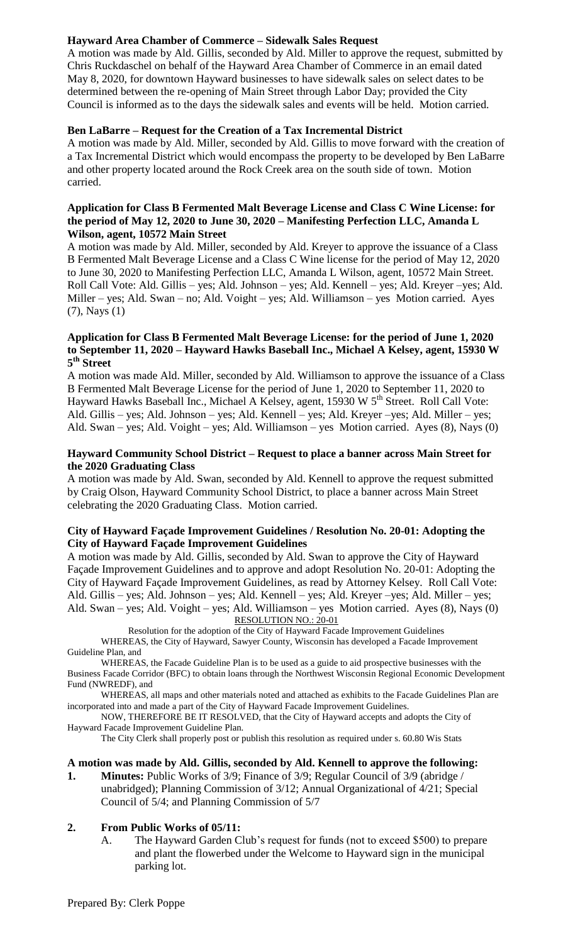# **Hayward Area Chamber of Commerce – Sidewalk Sales Request**

A motion was made by Ald. Gillis, seconded by Ald. Miller to approve the request, submitted by Chris Ruckdaschel on behalf of the Hayward Area Chamber of Commerce in an email dated May 8, 2020, for downtown Hayward businesses to have sidewalk sales on select dates to be determined between the re-opening of Main Street through Labor Day; provided the City Council is informed as to the days the sidewalk sales and events will be held. Motion carried.

### **Ben LaBarre – Request for the Creation of a Tax Incremental District**

A motion was made by Ald. Miller, seconded by Ald. Gillis to move forward with the creation of a Tax Incremental District which would encompass the property to be developed by Ben LaBarre and other property located around the Rock Creek area on the south side of town. Motion carried.

### **Application for Class B Fermented Malt Beverage License and Class C Wine License: for the period of May 12, 2020 to June 30, 2020 – Manifesting Perfection LLC, Amanda L Wilson, agent, 10572 Main Street**

A motion was made by Ald. Miller, seconded by Ald. Kreyer to approve the issuance of a Class B Fermented Malt Beverage License and a Class C Wine license for the period of May 12, 2020 to June 30, 2020 to Manifesting Perfection LLC, Amanda L Wilson, agent, 10572 Main Street. Roll Call Vote: Ald. Gillis – yes; Ald. Johnson – yes; Ald. Kennell – yes; Ald. Kreyer –yes; Ald. Miller – yes; Ald. Swan – no; Ald. Voight – yes; Ald. Williamson – yes Motion carried. Ayes (7), Nays (1)

### **Application for Class B Fermented Malt Beverage License: for the period of June 1, 2020 to September 11, 2020 – Hayward Hawks Baseball Inc., Michael A Kelsey, agent, 15930 W 5 th Street**

A motion was made Ald. Miller, seconded by Ald. Williamson to approve the issuance of a Class B Fermented Malt Beverage License for the period of June 1, 2020 to September 11, 2020 to Hayward Hawks Baseball Inc., Michael A Kelsey, agent, 15930 W 5<sup>th</sup> Street. Roll Call Vote: Ald. Gillis – yes; Ald. Johnson – yes; Ald. Kennell – yes; Ald. Kreyer –yes; Ald. Miller – yes; Ald. Swan – yes; Ald. Voight – yes; Ald. Williamson – yes Motion carried. Ayes (8), Nays (0)

#### **Hayward Community School District – Request to place a banner across Main Street for the 2020 Graduating Class**

A motion was made by Ald. Swan, seconded by Ald. Kennell to approve the request submitted by Craig Olson, Hayward Community School District, to place a banner across Main Street celebrating the 2020 Graduating Class. Motion carried.

#### **City of Hayward Façade Improvement Guidelines / Resolution No. 20-01: Adopting the City of Hayward Façade Improvement Guidelines**

A motion was made by Ald. Gillis, seconded by Ald. Swan to approve the City of Hayward Façade Improvement Guidelines and to approve and adopt Resolution No. 20-01: Adopting the City of Hayward Façade Improvement Guidelines, as read by Attorney Kelsey. Roll Call Vote: Ald. Gillis – yes; Ald. Johnson – yes; Ald. Kennell – yes; Ald. Kreyer –yes; Ald. Miller – yes; Ald. Swan – yes; Ald. Voight – yes; Ald. Williamson – yes Motion carried. Ayes (8), Nays (0) RESOLUTION NO.: 20-01

Resolution for the adoption of the City of Hayward Facade Improvement Guidelines

WHEREAS, the City of Hayward, Sawyer County, Wisconsin has developed a Facade Improvement Guideline Plan, and

WHEREAS, the Facade Guideline Plan is to be used as a guide to aid prospective businesses with the Business Facade Corridor (BFC) to obtain loans through the Northwest Wisconsin Regional Economic Development Fund (NWREDF), and

WHEREAS, all maps and other materials noted and attached as exhibits to the Facade Guidelines Plan are incorporated into and made a part of the City of Hayward Facade Improvement Guidelines.

NOW, THEREFORE BE IT RESOLVED, that the City of Hayward accepts and adopts the City of Hayward Facade Improvement Guideline Plan.

The City Clerk shall properly post or publish this resolution as required under s. 60.80 Wis Stats

### **A motion was made by Ald. Gillis, seconded by Ald. Kennell to approve the following:**

**1. Minutes:** Public Works of 3/9; Finance of 3/9; Regular Council of 3/9 (abridge / unabridged); Planning Commission of 3/12; Annual Organizational of 4/21; Special Council of 5/4; and Planning Commission of 5/7

### **2. From Public Works of 05/11:**

A. The Hayward Garden Club's request for funds (not to exceed \$500) to prepare and plant the flowerbed under the Welcome to Hayward sign in the municipal parking lot.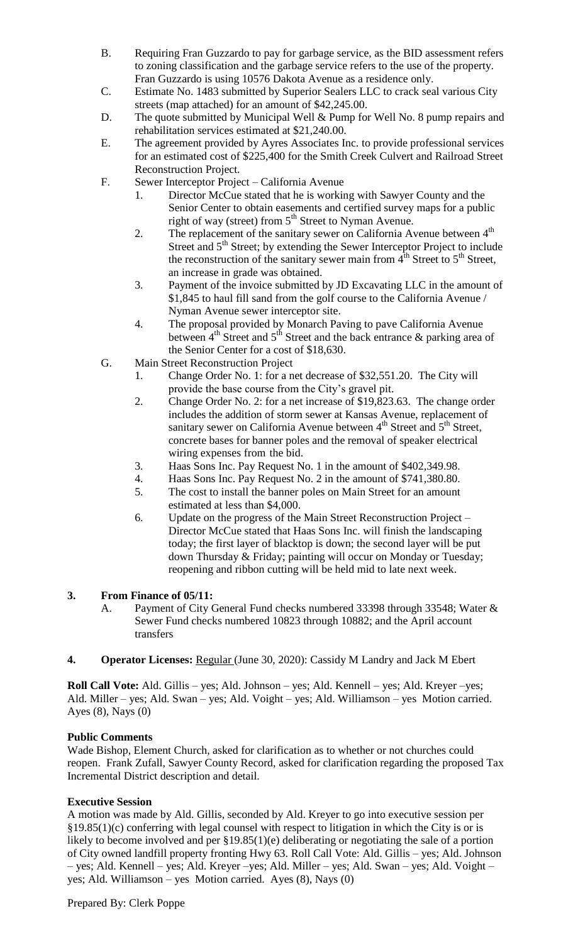- B. Requiring Fran Guzzardo to pay for garbage service, as the BID assessment refers to zoning classification and the garbage service refers to the use of the property. Fran Guzzardo is using 10576 Dakota Avenue as a residence only.
- C. Estimate No. 1483 submitted by Superior Sealers LLC to crack seal various City streets (map attached) for an amount of \$42,245.00.
- D. The quote submitted by Municipal Well & Pump for Well No. 8 pump repairs and rehabilitation services estimated at \$21,240.00.
- E. The agreement provided by Ayres Associates Inc. to provide professional services for an estimated cost of \$225,400 for the Smith Creek Culvert and Railroad Street Reconstruction Project.
- F. Sewer Interceptor Project California Avenue
	- 1. Director McCue stated that he is working with Sawyer County and the Senior Center to obtain easements and certified survey maps for a public right of way (street) from  $5<sup>th</sup>$  Street to Nyman Avenue.
	- 2. The replacement of the sanitary sewer on California Avenue between 4<sup>th</sup> Street and 5<sup>th</sup> Street; by extending the Sewer Interceptor Project to include the reconstruction of the sanitary sewer main from  $4<sup>th</sup>$  Street to  $5<sup>th</sup>$  Street, an increase in grade was obtained.
	- 3. Payment of the invoice submitted by JD Excavating LLC in the amount of \$1,845 to haul fill sand from the golf course to the California Avenue / Nyman Avenue sewer interceptor site.
	- 4. The proposal provided by Monarch Paving to pave California Avenue between  $4<sup>th</sup>$  Street and  $5<sup>th</sup>$  Street and the back entrance & parking area of the Senior Center for a cost of \$18,630.
- G. Main Street Reconstruction Project
	- 1. Change Order No. 1: for a net decrease of \$32,551.20. The City will provide the base course from the City's gravel pit.
	- 2. Change Order No. 2: for a net increase of \$19,823.63. The change order includes the addition of storm sewer at Kansas Avenue, replacement of sanitary sewer on California Avenue between 4<sup>th</sup> Street and 5<sup>th</sup> Street, concrete bases for banner poles and the removal of speaker electrical wiring expenses from the bid.
	- 3. Haas Sons Inc. Pay Request No. 1 in the amount of \$402,349.98.
	- 4. Haas Sons Inc. Pay Request No. 2 in the amount of \$741,380.80.
	- 5. The cost to install the banner poles on Main Street for an amount estimated at less than \$4,000.
	- 6. Update on the progress of the Main Street Reconstruction Project Director McCue stated that Haas Sons Inc. will finish the landscaping today; the first layer of blacktop is down; the second layer will be put down Thursday & Friday; painting will occur on Monday or Tuesday; reopening and ribbon cutting will be held mid to late next week.

# **3. From Finance of 05/11:**

- A. Payment of City General Fund checks numbered 33398 through 33548; Water & Sewer Fund checks numbered 10823 through 10882; and the April account transfers
- **4. Operator Licenses:** Regular (June 30, 2020): Cassidy M Landry and Jack M Ebert

**Roll Call Vote:** Ald. Gillis – yes; Ald. Johnson – yes; Ald. Kennell – yes; Ald. Kreyer –yes; Ald. Miller – yes; Ald. Swan – yes; Ald. Voight – yes; Ald. Williamson – yes Motion carried. Ayes (8), Nays (0)

# **Public Comments**

Wade Bishop, Element Church, asked for clarification as to whether or not churches could reopen. Frank Zufall, Sawyer County Record, asked for clarification regarding the proposed Tax Incremental District description and detail.

# **Executive Session**

A motion was made by Ald. Gillis, seconded by Ald. Kreyer to go into executive session per §19.85(1)(c) conferring with legal counsel with respect to litigation in which the City is or is likely to become involved and per §19.85(1)(e) deliberating or negotiating the sale of a portion of City owned landfill property fronting Hwy 63. Roll Call Vote: Ald. Gillis – yes; Ald. Johnson – yes; Ald. Kennell – yes; Ald. Kreyer –yes; Ald. Miller – yes; Ald. Swan – yes; Ald. Voight – yes; Ald. Williamson – yes Motion carried. Ayes (8), Nays (0)